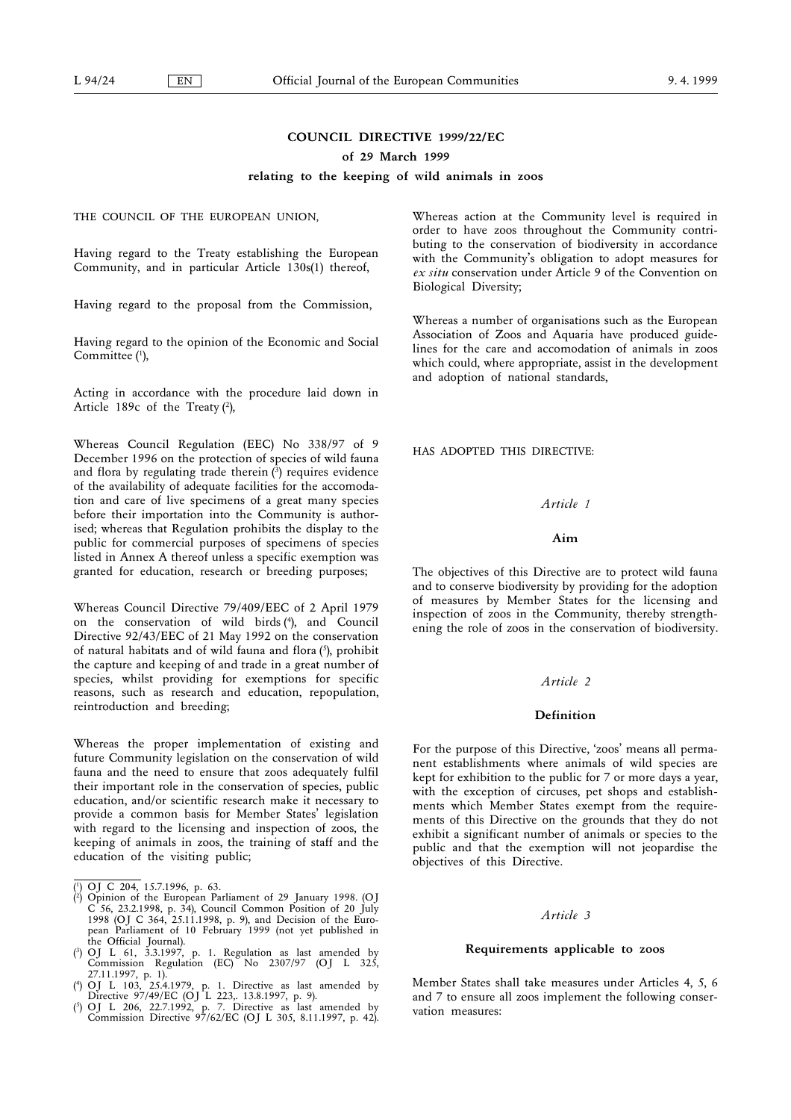## **COUNCIL DIRECTIVE 1999/22/EC**

**of 29 March 1999**

### **relating to the keeping of wild animals in zoos**

THE COUNCIL OF THE EUROPEAN UNION,

Having regard to the Treaty establishing the European Community, and in particular Article 130s(1) thereof,

Having regard to the proposal from the Commission,

Having regard to the opinion of the Economic and Social Committee (1),

Acting in accordance with the procedure laid down in Article 189c of the Treaty (2),

Whereas Council Regulation (EEC) No 338/97 of 9 December 1996 on the protection of species of wild fauna and flora by regulating trade therein (3) requires evidence of the availability of adequate facilities for the accomodation and care of live specimens of a great many species before their importation into the Community is authorised; whereas that Regulation prohibits the display to the public for commercial purposes of specimens of species listed in Annex A thereof unless a specific exemption was granted for education, research or breeding purposes;

Whereas Council Directive 79/409/EEC of 2 April 1979 on the conservation of wild birds (4 ), and Council Directive 92/43/EEC of 21 May 1992 on the conservation of natural habitats and of wild fauna and flora  $(5)$ , prohibit the capture and keeping of and trade in a great number of species, whilst providing for exemptions for specific reasons, such as research and education, repopulation, reintroduction and breeding;

Whereas the proper implementation of existing and future Community legislation on the conservation of wild fauna and the need to ensure that zoos adequately fulfil their important role in the conservation of species, public education, and/or scientific research make it necessary to provide a common basis for Member States' legislation with regard to the licensing and inspection of zoos, the keeping of animals in zoos, the training of staff and the education of the visiting public;

Whereas action at the Community level is required in order to have zoos throughout the Community contributing to the conservation of biodiversity in accordance with the Community's obligation to adopt measures for *ex situ* conservation under Article 9 of the Convention on Biological Diversity;

Whereas a number of organisations such as the European Association of Zoos and Aquaria have produced guidelines for the care and accomodation of animals in zoos which could, where appropriate, assist in the development and adoption of national standards,

#### HAS ADOPTED THIS DIRECTIVE:

### *Article 1*

## **Aim**

The objectives of this Directive are to protect wild fauna and to conserve biodiversity by providing for the adoption of measures by Member States for the licensing and inspection of zoos in the Community, thereby strengthening the role of zoos in the conservation of biodiversity.

#### *Article 2*

### **Definition**

For the purpose of this Directive, 'zoos' means all permanent establishments where animals of wild species are kept for exhibition to the public for 7 or more days a year, with the exception of circuses, pet shops and establishments which Member States exempt from the requirements of this Directive on the grounds that they do not exhibit a significant number of animals or species to the public and that the exemption will not jeopardise the objectives of this Directive.

### *Article 3*

### **Requirements applicable to zoos**

Member States shall take measures under Articles 4, 5, 6 and 7 to ensure all zoos implement the following conservation measures:

<sup>(</sup> 1) OJ C 204, 15.7.1996, p. 63.

<sup>(</sup> 2) Opinion of the European Parliament of 29 January 1998. (OJ C 56, 23.2.1998, p. 34), Council Common Position of 20 July 1998 (OJ C 364, 25.11.1998, p. 9), and Decision of the European Parliament of 10 February 1999 (not yet published in the Official Journal).

<sup>(</sup> 3) OJ L 61, 3.3.1997, p. 1. Regulation as last amended by Commission Regulation (EC) No 2307/97 (OJ L 325, 27.11.1997, p. 1).

<sup>(</sup> 4) OJ L 103, 25.4.1979, p. 1. Directive as last amended by Directive 97/49/EC (OJ L 223,. 13.8.1997, p. 9).

<sup>(</sup> 5) OJ L 206, 22.7.1992, p. 7. Directive as last amended by Commission Directive 97/62/EC (OJ L 305, 8.11.1997, p. 42).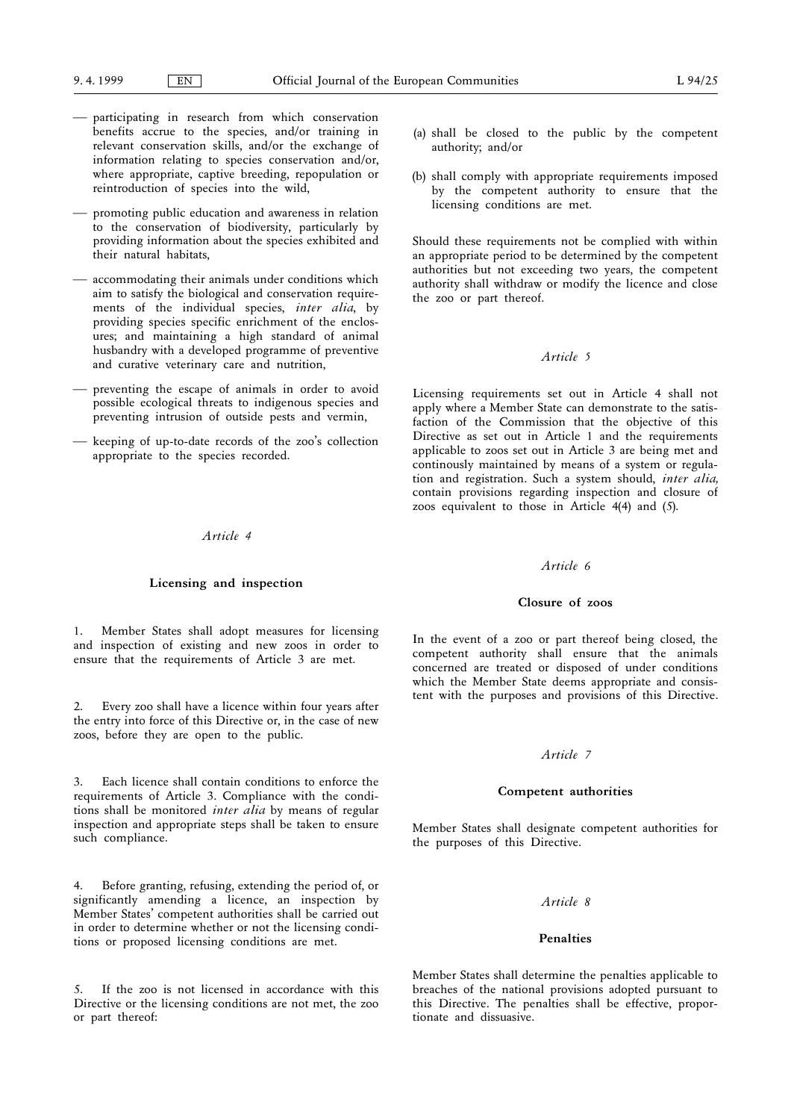- participating in research from which conservation benefits accrue to the species, and/or training in relevant conservation skills, and/or the exchange of information relating to species conservation and/or, where appropriate, captive breeding, repopulation or reintroduction of species into the wild,
- promoting public education and awareness in relation to the conservation of biodiversity, particularly by providing information about the species exhibited and their natural habitats,
- accommodating their animals under conditions which aim to satisfy the biological and conservation requirements of the individual species, *inter alia*, by providing species specific enrichment of the enclosures; and maintaining a high standard of animal husbandry with a developed programme of preventive and curative veterinary care and nutrition,
- preventing the escape of animals in order to avoid possible ecological threats to indigenous species and preventing intrusion of outside pests and vermin,
- keeping of up-to-date records of the zoo's collection appropriate to the species recorded.

### *Article 4*

### **Licensing and inspection**

1. Member States shall adopt measures for licensing and inspection of existing and new zoos in order to ensure that the requirements of Article 3 are met.

2. Every zoo shall have a licence within four years after the entry into force of this Directive or, in the case of new zoos, before they are open to the public.

Each licence shall contain conditions to enforce the requirements of Article 3. Compliance with the conditions shall be monitored *inter alia* by means of regular inspection and appropriate steps shall be taken to ensure such compliance.

Before granting, refusing, extending the period of, or significantly amending a licence, an inspection by Member States' competent authorities shall be carried out in order to determine whether or not the licensing conditions or proposed licensing conditions are met.

5. If the zoo is not licensed in accordance with this Directive or the licensing conditions are not met, the zoo or part thereof:

- (a) shall be closed to the public by the competent authority; and/or
- (b) shall comply with appropriate requirements imposed by the competent authority to ensure that the licensing conditions are met.

Should these requirements not be complied with within an appropriate period to be determined by the competent authorities but not exceeding two years, the competent authority shall withdraw or modify the licence and close the zoo or part thereof.

## *Article 5*

Licensing requirements set out in Article 4 shall not apply where a Member State can demonstrate to the satisfaction of the Commission that the objective of this Directive as set out in Article 1 and the requirements applicable to zoos set out in Article 3 are being met and continously maintained by means of a system or regulation and registration. Such a system should, *inter alia,* contain provisions regarding inspection and closure of zoos equivalent to those in Article 4(4) and (5).

## *Article 6*

### **Closure of zoos**

In the event of a zoo or part thereof being closed, the competent authority shall ensure that the animals concerned are treated or disposed of under conditions which the Member State deems appropriate and consistent with the purposes and provisions of this Directive.

## *Article 7*

### **Competent authorities**

Member States shall designate competent authorities for the purposes of this Directive.

### *Article 8*

## **Penalties**

Member States shall determine the penalties applicable to breaches of the national provisions adopted pursuant to this Directive. The penalties shall be effective, proportionate and dissuasive.